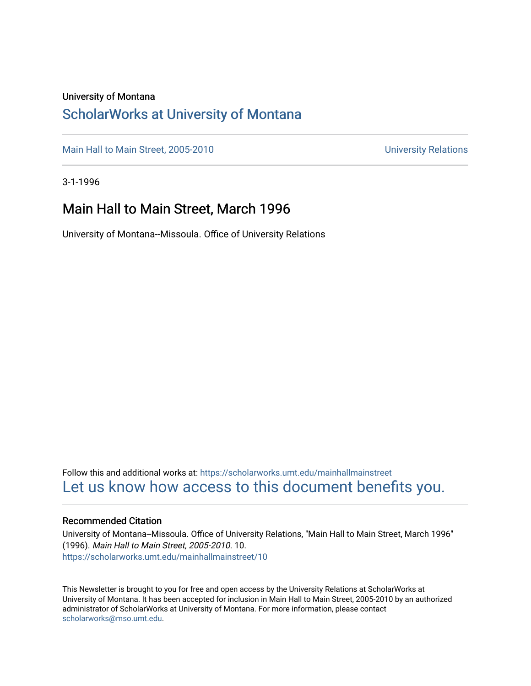### University of Montana

### [ScholarWorks at University of Montana](https://scholarworks.umt.edu/)

[Main Hall to Main Street, 2005-2010](https://scholarworks.umt.edu/mainhallmainstreet) Main Hall to Main Street, 2005-2010

3-1-1996

### Main Hall to Main Street, March 1996

University of Montana--Missoula. Office of University Relations

Follow this and additional works at: [https://scholarworks.umt.edu/mainhallmainstreet](https://scholarworks.umt.edu/mainhallmainstreet?utm_source=scholarworks.umt.edu%2Fmainhallmainstreet%2F10&utm_medium=PDF&utm_campaign=PDFCoverPages) [Let us know how access to this document benefits you.](https://goo.gl/forms/s2rGfXOLzz71qgsB2) 

### Recommended Citation

University of Montana--Missoula. Office of University Relations, "Main Hall to Main Street, March 1996" (1996). Main Hall to Main Street, 2005-2010. 10. [https://scholarworks.umt.edu/mainhallmainstreet/10](https://scholarworks.umt.edu/mainhallmainstreet/10?utm_source=scholarworks.umt.edu%2Fmainhallmainstreet%2F10&utm_medium=PDF&utm_campaign=PDFCoverPages) 

This Newsletter is brought to you for free and open access by the University Relations at ScholarWorks at University of Montana. It has been accepted for inclusion in Main Hall to Main Street, 2005-2010 by an authorized administrator of ScholarWorks at University of Montana. For more information, please contact [scholarworks@mso.umt.edu.](mailto:scholarworks@mso.umt.edu)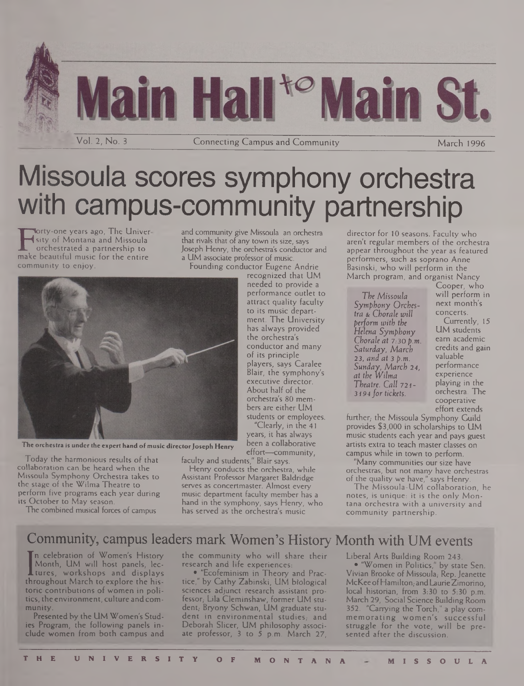

# Missoula scores symphony orchestra with campus-community partnership

F sity of Montana and Missoula<br>orchestrated a partnership to<br>make beautiful music for the entire<br>community to eniov. orty-one years ago, The Univer sity of Montana and Missoula orchestrated a partnership to community to enjoy.

and community give Missoula an orchestra that rivals that of any town its size, says Joseph Henry, the orchestra's conductor and a UM associate professor of music.

Founding conductor Eugene Andrie



**The orchestra is under the expert hand of music directorJoseph Henry**

Today the harmonious results of that collaboration can be heard when the Missoula Symphony Orchestra takes to the stage of the Wilma Theatre to perform five programs each year during its October to May season.

The combined musical forces of campus

recognized that UM needed to provide a performance outlet to attract quality faculty to its music department. The University has always provided the orchestra's conductor and many of its principle players, says Caralee Blair, the symphony's executive director. About half of the orchestra's 80 members are either UM students or employees.

"Clearly, in the 41 years, it has always been a collaborative effort—community,

faculty and students," Blair says. Henry conducts the orchestra, while

Assistant Professor Margaret Baldridge serves as concertmaster. Almost every music department faculty member has a hand in the symphony, says Henry, who has served as the orchestra's music

director for 10 seasons. Faculty who aren't regular members of the orchestra appear throughout the year as featured performers, such as soprano Anne Basinski, who will perform in the March program, and organist Nancy

*The Missoula Symphony Orchestra & Chorale will perform with the Helena Symphony Chorale at 7:30 p.m. Saturday, March 23, and at 3 p.m. Sunday, March 24, at the Wilma Theatre. Call* 721- 31*94 fortickets.*

Cooper, who will perform in next month's concerts.

Currently, 15 UM students earn academic credits and gain valuable performance experience playing in the orchestra. The cooperative effort extends

further, the Missoula Symphony Guild provides \$3,000 in scholarships to UM music students each year and pays guest artists extra to teach master classes on campus while in town to perform.

"Many communities our size have orchestras, but not many have orchestras of the quality we have," says Henry.

The Missoula-UM collaboration, he notes, is unique: it is the only Montana orchestra with a university and community partnership.

## Community, campus leaders mark Women's History Month with UM events

**L** tures, workshops and displays<br>hroughout March to explore the hisn celebration of Women's History Month, UM will host panels, lectures, workshops and displays toric contributions of women in politics, the environment, culture andcommunity.

Presented by the UM Women's Studies Program, the following panels include women from both campus and the community who will share their research and life experiences:

• "Ecofeminism in Theory and Practice," by Cathy Zabinski, UM biological sciences adjunct research assistant professor,- Lila Cleminshaw, former UM student,- Bryony Schwan, UM graduate student in environmental studies; and Deborah Slicer, UM philosophy associate professor, 3 to 5 p.m. March 27,

Liberal Arts Building Room 243. • "Women in Politics," by state Sen. Vivian Brooke of Missoula, Rep. Jeanette McKee of Hamilton, and Laurie Zimorino, local historian, from 3:30 to 5:30 p.m. March 29, Social Science Building Room 352. "Carrying the Torch," a play commemorating women's successful struggle for the vote, will be presented after the discussion.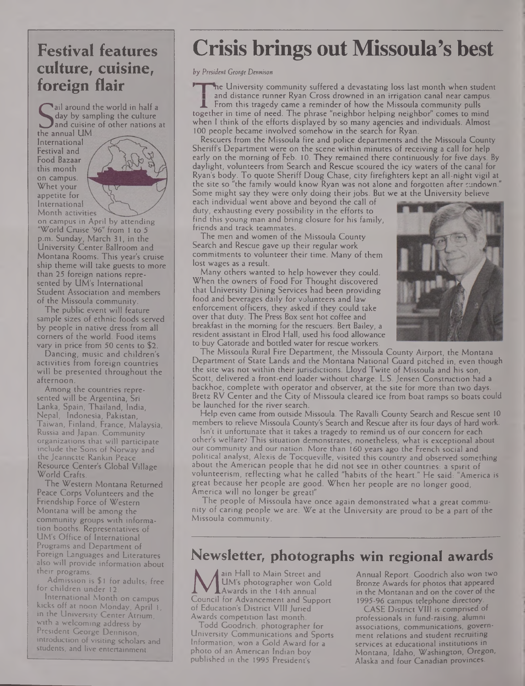## **Festival features culture, cuisine, foreign flair**

and cuisine c<br>the annual UM<br>international ail around the world in half a day by sampling the culture and cuisine of other nations at

International Festival and Food Bazaar this month on campus. Whet your appetite for International Month activities



on campus in April by attending "World Cruise '96" from <sup>1</sup> to 5 p.m. Sunday, March 31, in the University Center Ballroom and Montana Rooms. This year's cruise ship theme will take guests to more than 25 foreign nations represented by UM's International Student Association and members of the Missoula community.

The public event will feature sample sizes of ethnic foods served by people in native dress from all corners of the world. Food items vary in price from 50 cents to \$2.

Dancing, music and children's activities from foreign countries will be presented throughout the afternoon.

Among the countries represented will be Argentina, Sri Lanka, Spain, Thailand, India, Nepal, Indonesia, Pakistan, Taiwan, Finland, France, Malaysia, Russia and Japan. Community organizations that will participate include the Sons of Norway and the Jeannette Rankin Peace Resource Center's Global Village World Crafts.

The Western Montana Returned Peace Corps Volunteers and the Friendship Force of Western Montana will be among the community groups with information booths. Representatives of UM's Office of International Programs and Department of Foreign Languages and Literatures also will provide information about their programs.

Admission is \$1 for adults, free for children under 12.

International Month on campus kicks off at noon Monday, April 1, in the University Center Atrium, with a welcoming address by President George Dennison, introduction of visiting scholars and students, and live entertainment.

## **Crisis brings out Missoula's best**

*by President George Dennison*

 | 'ne University community suffered <sup>a</sup> devastating loss last month when student and distance runner Ryan Cross drowned in an irrigation canal near campus. From this tragedy came a reminder of how the Missoula community pulls together in time of need. The phrase "neighbor helping neighbor" comes to mind when <sup>I</sup> think of the efforts displayed by so many agencies and individuals. Almost 100 people became involved somehow in the search for Ryan.

Rescuers from the Missoula fire and police departments and the Missoula County Sheriffs Department were on the scene within minutes of receiving a call for help early on the morning of Feb. 10. They remained there continuously for five days. By daylight, volunteers from Search and Rescue scoured the icy waters of the canal for Ryan's body. To quote Sheriff Doug Chase, city firefighters kept an all-night vigil at the site so "the family would know Ryan was not alone and forgotten after sundown." Some might say they were only doing their jobs. But we at the University believe

each individual went above and beyond the call of duty, exhausting every possibility in the efforts to find this young man and bring closure for his family, friends and track teammates.

The men and women of the Missoula County Search and Rescue gave up their regular work commitments to volunteer their time. Many of them lost wages as a result.

Many others wanted to help however they could. When the owners of Food For Thought discovered that University Dining Services had been providing food and beverages daily for volunteers and law enforcement officers, they asked if they could take over that duty. The Press Box sent hot coffee and breakfast in the morning for the rescuers. Bert Bailey, a resident assistant in Elrod Hall, used his food allowance to buy Gatorade and bottled water for rescue workers.



The Missoula Rural Fire Department, the Missoula County Airport, the Montana Department of State Lands and the Montana National Guard pitched in, even though the site was not within their jurisdictions. Lloyd Twite of Missoula and his son, Scott, delivered a front-end loader without charge. L.S. Jensen Construction had a backhoe, complete with operator and observer, at the site for more than two days. Bretz RV Center and the City of Missoula cleared ice from boat ramps so boats could be launched for the river search.

Help even came from outside Missoula. The Ravalli County Search and Rescue sent 10 members to relieve Missoula County's Search and Rescue after its four days of hard work.

Isn't it unfortunate that it takes a tragedy to remind us of our concern for each other's welfare? This situation demonstrates, nonetheless, what is exceptional about our community and our nation. More than 160 years ago the French social and political analyst, Alexis de Tocqueville, visited this country and observed something about the American people that he did not see in other countries: a spirit of volunteerism, reflecting what he called "habits of the heart." He said: "America is great because her people are good. When her people are no longer good, America will no longer be greatl"

The people of Missoula have once again demonstrated what a great community of caring people we are. We at the University are proud to be a part of the Missoula community.

## **Newsletter, photographs win regional awards**

**MUM's photographer won Gold<br>Council for Advancement and Support**<br>of Education's District VIII luried ain Hall to Main Street and UM's photographer won Gold Awards in the 14th annual of Education's District VIII Juried Awards competition last month.

Todd Goodrich, photographer for University Communications and Sports Information, won a Gold Award for a photo of an American Indian boy published in the 1995 President's

Annual Report. Goodrich also won two Bronze Awards for photos that appeared in the Montanan and on the cover of the 1995-96 campus telephone directory.

CASE District VIII is comprised of professionals in fund-raising, alumni associations, communications, government relations and student recruiting services at educational institutions in Montana, Idaho, Washington, Oregon, Alaska and four Canadian provinces.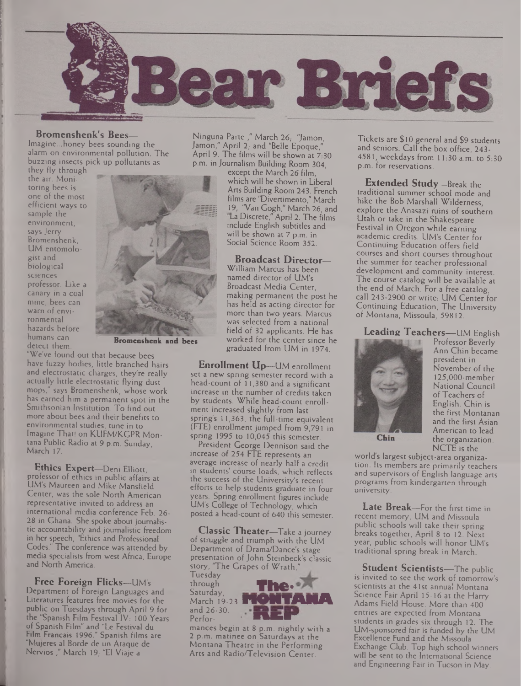

#### **Bromenshenk's Bees—**

Imagine...honey bees sounding the alarm on environmental pollution. The buzzing insects pick up pollutants as

they fly through the air. Moni- • toring bees is one of the most efficient ways to sample the environment, says Jerry Bromenshenk, UM entomologist and biological sciences professor. Like a canary in a coal mine, bees can warn of environmental hazards before humans can detect them.



**Bromenshenk and bees**

"We've found out that because bees have fuzzy bodies, little branched hairs and electrostatic charges; they're really actually little electrostatic flying dust mops," says Bromenshenk, whose work has earned him a permanent spot in the Smithsonian Institution. To find out more about bees and their benefits to environmental studies, tune in to Imagine That! on KUFM/KGPR Montana Public Radio at 9 p.m. Sunday, March 17.

**Ethics Expert—**Deni Elliott, professor of ethics in public affairs at UM's Maureen and Mike Mansfield Center, was the sole North American representative invited to address an international media conference Feb. 26- 28 in Ghana. She spoke about journalistic accountability and journalistic freedom in her speech, "Ethics and Professional Codes." The conference was attended by media specialists from west Africa, Europe and North America.

**Free Foreign Flicks—**UM's Department of Foreign Languages and Literatures features free movies for the public on Tuesdays through April 9 for the "Spanish Film Festival IV: 100 Years of Spanish Film" and "Le Festival du Film Francais 1996." Spanish films are "Mujeres al Borde de un Ataque de Nervios ," March 19; "El Viaje a

I

Ninguna Parte ," March 26,- "Jamon, Jamon," April 2, and "Belle Epoque," April 9. The films will be shown at 7:30 p.m. in Journalism Building Room 304,

except the March 26 film, which will be shown in Liberal Arts Building Room 243. French films are "Divertimento," March 19, "Van Gogh," March 26, and La Discrete," April 2. The films include English subtitles and will be shown at 7 p.m. in Social Science Room 352.

**Broadcast Director—** William Marcus has been named director of UM's Broadcast Media Center, making permanent the post he has held as acting director for more than two years. Marcus was selected from a national field of 32 applicants. He has worked for the center since he graduated from UM in 1974.

**Enrollment Up—**UM enrollment set a new spring semester record with a head-count of 11,380 and a significant increase in the number of credits taken by students. While head-count enrollment increased slightly from last spring's 11,363, the full-time equivalent (FTE) enrollment jumped from 9,791 in spring 1995 to 10,045 this semester.

President George Dennison said the increase of 254 FTE represents an average increase of nearly half a credit in students' course loads, which reflects the success of the University's recent efforts to help students graduate in four years. Spring enrollment figures include UM's College of Technology, which posted a head-count of 640 this semester.

**Classic Theater—**Take a journey of struggle and triumph with the UM Department of Drama/Dance's stage presentation of John Steinbeck's classic story, 'The Grapes of Wrath,

Tuesday \_\_\_ through Saturday, March 19-23 IT and 26-30.<br>Perfor-



mances begin at 8 p.m. nightly with a 2 p.m. matinee on Saturdays at the Montana Theatre in the Performing Arts and Radio/Television Center.

Tickets are \$ 10 general and \$9 students and seniors. Call the box office, 243- 4581, weekdays from 11:30 a.m. to 5:30 p.m. for reservations.

**Extended Study—**Break the traditional summer school mode and hike the Bob Marshall Wilderness, explore the Anasazi ruins of southern Utah or take in the Shakespeare Festival in Oregon while earning academic credits. UM's Center for Continuing Education offers field courses and short courses throughout the summer for teacher professional development and community interest. The course catalog will be available at the end of March. For a free catalog, call 243-2900 or write: UM Center for Continuing Education, The University of Montana, Missoula, 59812.

**Leading Teachers—**UM English



Professor Beverly Ann Chin became president in November of the **125,000-member** National Council of Teachers of English. Chin is the first Montanan and the first Asian American to lead the organization. NCTE is the

world's largest subject-area organization. Its members are primarily teachers and supervisors of English language arts programs from kindergarten through university.

**Late Break—**For the first time in recent memory, UM and Missoula public schools will take their spring breaks together, April 8 to 12. Next year, public schools will honor UM's traditional spring break in March.

**Student Scientists—**The public is invited to see the work of tomorrow's scientists at the 41st annual Montana Science Fair April 15-16 at the Harry Adams Field House. More than 400 entries are expected from Montana students in grades six through 12. The UM-sponsored fair is funded by the UM Excellence Fund and the Missoula Exchange Club. Top high school winners will be sent to the International Science and Engineering Fair in Tucson in May.